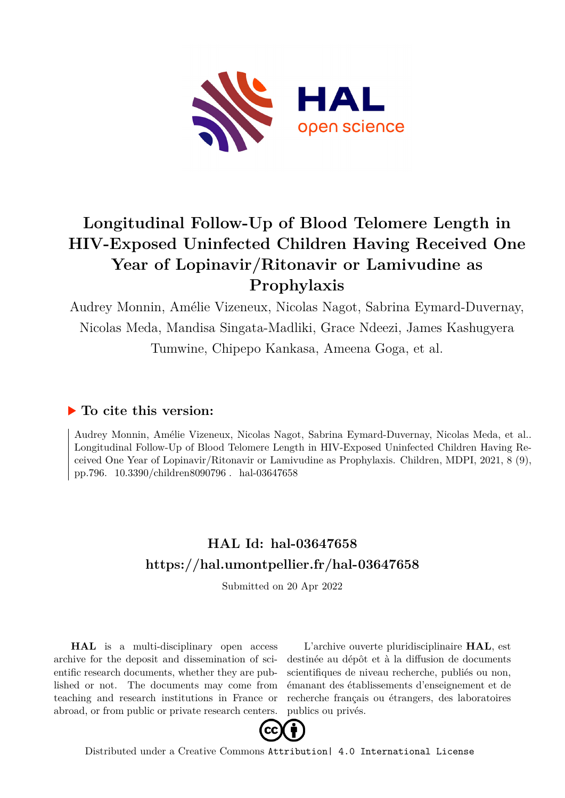

# **Longitudinal Follow-Up of Blood Telomere Length in HIV-Exposed Uninfected Children Having Received One Year of Lopinavir/Ritonavir or Lamivudine as Prophylaxis**

Audrey Monnin, Amélie Vizeneux, Nicolas Nagot, Sabrina Eymard-Duvernay, Nicolas Meda, Mandisa Singata-Madliki, Grace Ndeezi, James Kashugyera Tumwine, Chipepo Kankasa, Ameena Goga, et al.

### **To cite this version:**

Audrey Monnin, Amélie Vizeneux, Nicolas Nagot, Sabrina Eymard-Duvernay, Nicolas Meda, et al.. Longitudinal Follow-Up of Blood Telomere Length in HIV-Exposed Uninfected Children Having Received One Year of Lopinavir/Ritonavir or Lamivudine as Prophylaxis. Children, MDPI, 2021, 8 (9), pp.796.  $10.3390$ /children8090796. hal-03647658

## **HAL Id: hal-03647658 <https://hal.umontpellier.fr/hal-03647658>**

Submitted on 20 Apr 2022

**HAL** is a multi-disciplinary open access archive for the deposit and dissemination of scientific research documents, whether they are published or not. The documents may come from teaching and research institutions in France or abroad, or from public or private research centers.

L'archive ouverte pluridisciplinaire **HAL**, est destinée au dépôt et à la diffusion de documents scientifiques de niveau recherche, publiés ou non, émanant des établissements d'enseignement et de recherche français ou étrangers, des laboratoires publics ou privés.



Distributed under a Creative Commons [Attribution| 4.0 International License](http://creativecommons.org/licenses/by/4.0/)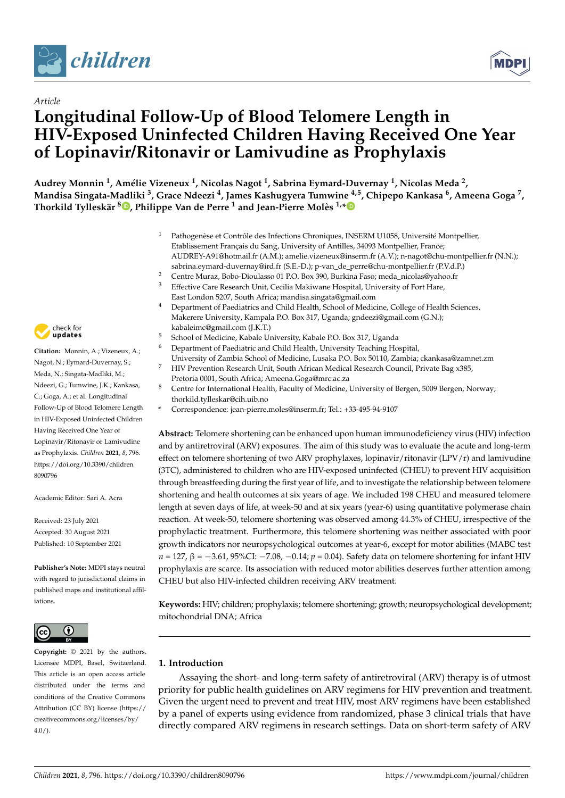



## *Article* **Longitudinal Follow-Up of Blood Telomere Length in HIV-Exposed Uninfected Children Having Received One Year of Lopinavir/Ritonavir or Lamivudine as Prophylaxis**

**Audrey Monnin <sup>1</sup> , Amélie Vizeneux <sup>1</sup> , Nicolas Nagot <sup>1</sup> , Sabrina Eymard-Duvernay <sup>1</sup> , Nicolas Meda <sup>2</sup> , Mandisa Singata-Madliki <sup>3</sup> , Grace Ndeezi <sup>4</sup> , James Kashugyera Tumwine 4,5, Chipepo Kankasa <sup>6</sup> , Ameena Goga <sup>7</sup> , Thorkild Tylleskär <sup>8</sup> [,](https://orcid.org/0000-0003-4801-4324) Philippe Van de Perre <sup>1</sup> and Jean-Pierre Molès 1,[\\*](https://orcid.org/0000-0002-6863-6350)**

- <sup>1</sup> Pathogenèse et Contrôle des Infections Chroniques, INSERM U1058, Université Montpellier, Etablissement Français du Sang, University of Antilles, 34093 Montpellier, France; AUDREY-A91@hotmail.fr (A.M.); amelie.vizeneux@inserm.fr (A.V.); n-nagot@chu-montpellier.fr (N.N.); sabrina.eymard-duvernay@ird.fr (S.E.-D.); p-van\_de\_perre@chu-montpellier.fr (P.V.d.P.)
- <sup>2</sup> Centre Muraz, Bobo-Dioulasso 01 P.O. Box 390, Burkina Faso; meda\_nicolas@yahoo.fr<br><sup>3</sup> Effective Care Besearch Unit Cesilia Makiwang Hospital University of Fort Harp
- <sup>3</sup> Effective Care Research Unit, Cecilia Makiwane Hospital, University of Fort Hare, East London 5207, South Africa; mandisa.singata@gmail.com
- <sup>4</sup> Department of Paediatrics and Child Health, School of Medicine, College of Health Sciences, Makerere University, Kampala P.O. Box 317, Uganda; gndeezi@gmail.com (G.N.); kabaleimc@gmail.com (J.K.T.)
- <sup>5</sup> School of Medicine, Kabale University, Kabale P.O. Box 317, Uganda
- <sup>6</sup> Department of Paediatric and Child Health, University Teaching Hospital,
- University of Zambia School of Medicine, Lusaka P.O. Box 50110, Zambia; ckankasa@zamnet.zm
- <sup>7</sup> HIV Prevention Research Unit, South African Medical Research Council, Private Bag x385, Pretoria 0001, South Africa; Ameena.Goga@mrc.ac.za
- Centre for International Health, Faculty of Medicine, University of Bergen, 5009 Bergen, Norway; thorkild.tylleskar@cih.uib.no
- **\*** Correspondence: jean-pierre.moles@inserm.fr; Tel.: +33-495-94-9107

**Abstract:** Telomere shortening can be enhanced upon human immunodeficiency virus (HIV) infection and by antiretroviral (ARV) exposures. The aim of this study was to evaluate the acute and long-term effect on telomere shortening of two ARV prophylaxes, lopinavir/ritonavir (LPV/r) and lamivudine (3TC), administered to children who are HIV-exposed uninfected (CHEU) to prevent HIV acquisition through breastfeeding during the first year of life, and to investigate the relationship between telomere shortening and health outcomes at six years of age. We included 198 CHEU and measured telomere length at seven days of life, at week-50 and at six years (year-6) using quantitative polymerase chain reaction. At week-50, telomere shortening was observed among 44.3% of CHEU, irrespective of the prophylactic treatment. Furthermore, this telomere shortening was neither associated with poor growth indicators nor neuropsychological outcomes at year-6, except for motor abilities (MABC test *n* = 127, β = −3.61, 95%CI: −7.08, −0.14; *p* = 0.04). Safety data on telomere shortening for infant HIV prophylaxis are scarce. Its association with reduced motor abilities deserves further attention among CHEU but also HIV-infected children receiving ARV treatment.

**Keywords:** HIV; children; prophylaxis; telomere shortening; growth; neuropsychological development; mitochondrial DNA; Africa

#### **1. Introduction**

Assaying the short- and long-term safety of antiretroviral (ARV) therapy is of utmost priority for public health guidelines on ARV regimens for HIV prevention and treatment. Given the urgent need to prevent and treat HIV, most ARV regimens have been established by a panel of experts using evidence from randomized, phase 3 clinical trials that have directly compared ARV regimens in research settings. Data on short-term safety of ARV



**Citation:** Monnin, A.; Vizeneux, A.; Nagot, N.; Eymard-Duvernay, S.; Meda, N.; Singata-Madliki, M.; Ndeezi, G.; Tumwine, J.K.; Kankasa, C.; Goga, A.; et al. Longitudinal Follow-Up of Blood Telomere Length in HIV-Exposed Uninfected Children Having Received One Year of Lopinavir/Ritonavir or Lamivudine as Prophylaxis. *Children* **2021**, *8*, 796. [https://doi.org/10.3390/children](https://doi.org/10.3390/children8090796) [8090796](https://doi.org/10.3390/children8090796)

Academic Editor: Sari A. Acra

Received: 23 July 2021 Accepted: 30 August 2021 Published: 10 September 2021

**Publisher's Note:** MDPI stays neutral with regard to jurisdictional claims in published maps and institutional affiliations.



**Copyright:** © 2021 by the authors. Licensee MDPI, Basel, Switzerland. This article is an open access article distributed under the terms and conditions of the Creative Commons Attribution (CC BY) license (https:/[/](https://creativecommons.org/licenses/by/4.0/) [creativecommons.org/licenses/by/](https://creativecommons.org/licenses/by/4.0/)  $4.0/$ ).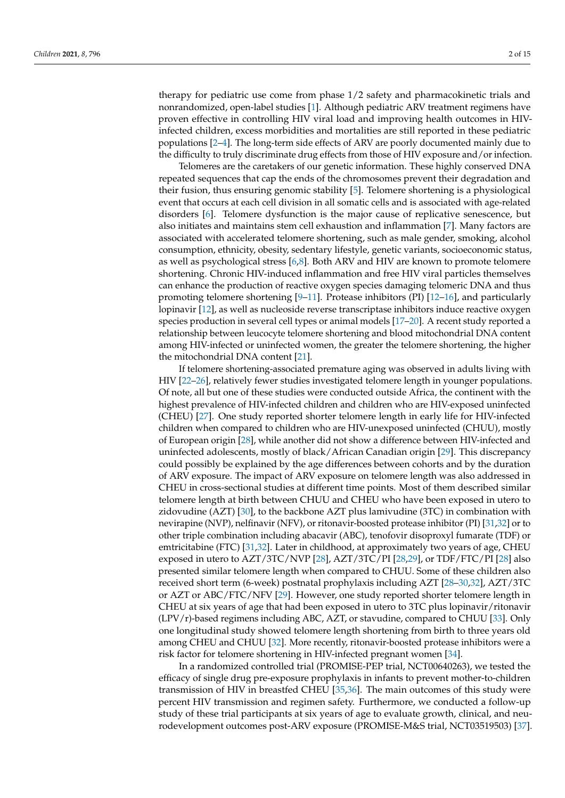therapy for pediatric use come from phase 1/2 safety and pharmacokinetic trials and nonrandomized, open-label studies [1]. Although pediatric ARV treatment regimens have proven effective in controlling HIV viral load and improving health outcomes in HIVinfected children, excess morbidities and mortalities are still reported in these pediatric populations [2–4]. The long-term side effects of ARV are poorly documented mainly due to the difficulty to truly discriminate drug effects from those of HIV exposure and/or infection.

Telomeres are the caretakers of our genetic information. These highly conserved DNA repeated sequences that cap the ends of the chromosomes prevent their degradation and their fusion, thus ensuring genomic stability [5]. Telomere shortening is a physiological event that occurs at each cell division in all somatic cells and is associated with age-related disorders [6]. Telomere dysfunction is the major cause of replicative senescence, but also initiates and maintains stem cell exhaustion and inflammation [7]. Many factors are associated with accelerated telomere shortening, such as male gender, smoking, alcohol consumption, ethnicity, obesity, sedentary lifestyle, genetic variants, socioeconomic status, as well as psychological stress [6,8]. Both ARV and HIV are known to promote telomere shortening. Chronic HIV-induced inflammation and free HIV viral particles themselves can enhance the production of reactive oxygen species damaging telomeric DNA and thus promoting telomere shortening  $[9-11]$ . Protease inhibitors (PI)  $[12-16]$ , and particularly lopinavir [12], as well as nucleoside reverse transcriptase inhibitors induce reactive oxygen species production in several cell types or animal models [17–20]. A recent study reported a relationship between leucocyte telomere shortening and blood mitochondrial DNA content among HIV-infected or uninfected women, the greater the telomere shortening, the higher the mitochondrial DNA content [21].

If telomere shortening-associated premature aging was observed in adults living with HIV [22–26], relatively fewer studies investigated telomere length in younger populations. Of note, all but one of these studies were conducted outside Africa, the continent with the highest prevalence of HIV-infected children and children who are HIV-exposed uninfected (CHEU) [27]. One study reported shorter telomere length in early life for HIV-infected children when compared to children who are HIV-unexposed uninfected (CHUU), mostly of European origin [28], while another did not show a difference between HIV-infected and uninfected adolescents, mostly of black/African Canadian origin [29]. This discrepancy could possibly be explained by the age differences between cohorts and by the duration of ARV exposure. The impact of ARV exposure on telomere length was also addressed in CHEU in cross-sectional studies at different time points. Most of them described similar telomere length at birth between CHUU and CHEU who have been exposed in utero to zidovudine (AZT) [30], to the backbone AZT plus lamivudine (3TC) in combination with nevirapine (NVP), nelfinavir (NFV), or ritonavir-boosted protease inhibitor (PI) [31,32] or to other triple combination including abacavir (ABC), tenofovir disoproxyl fumarate (TDF) or emtricitabine (FTC) [31,32]. Later in childhood, at approximately two years of age, CHEU exposed in utero to AZT/3TC/NVP [28], AZT/3TC/PI [28,29], or TDF/FTC/PI [28] also presented similar telomere length when compared to CHUU. Some of these children also received short term (6-week) postnatal prophylaxis including AZT [28–30,32], AZT/3TC or AZT or ABC/FTC/NFV [29]. However, one study reported shorter telomere length in CHEU at six years of age that had been exposed in utero to 3TC plus lopinavir/ritonavir (LPV/r)-based regimens including ABC, AZT, or stavudine, compared to CHUU [33]. Only one longitudinal study showed telomere length shortening from birth to three years old among CHEU and CHUU [32]. More recently, ritonavir-boosted protease inhibitors were a risk factor for telomere shortening in HIV-infected pregnant women [34].

In a randomized controlled trial (PROMISE-PEP trial, NCT00640263), we tested the efficacy of single drug pre-exposure prophylaxis in infants to prevent mother-to-children transmission of HIV in breastfed CHEU [35,36]. The main outcomes of this study were percent HIV transmission and regimen safety. Furthermore, we conducted a follow-up study of these trial participants at six years of age to evaluate growth, clinical, and neurodevelopment outcomes post-ARV exposure (PROMISE-M&S trial, NCT03519503) [37].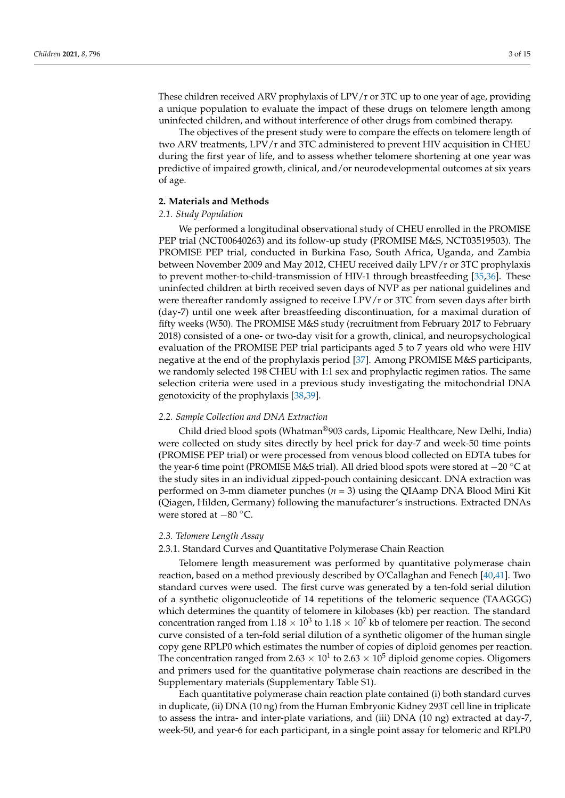These children received ARV prophylaxis of LPV/r or 3TC up to one year of age, providing a unique population to evaluate the impact of these drugs on telomere length among uninfected children, and without interference of other drugs from combined therapy.

The objectives of the present study were to compare the effects on telomere length of two ARV treatments, LPV/r and 3TC administered to prevent HIV acquisition in CHEU during the first year of life, and to assess whether telomere shortening at one year was predictive of impaired growth, clinical, and/or neurodevelopmental outcomes at six years of age.

#### **2. Materials and Methods**

#### *2.1. Study Population*

We performed a longitudinal observational study of CHEU enrolled in the PROMISE PEP trial (NCT00640263) and its follow-up study (PROMISE M&S, NCT03519503). The PROMISE PEP trial, conducted in Burkina Faso, South Africa, Uganda, and Zambia between November 2009 and May 2012, CHEU received daily LPV/r or 3TC prophylaxis to prevent mother-to-child-transmission of HIV-1 through breastfeeding [35,36]. These uninfected children at birth received seven days of NVP as per national guidelines and were thereafter randomly assigned to receive LPV/r or 3TC from seven days after birth (day-7) until one week after breastfeeding discontinuation, for a maximal duration of fifty weeks (W50). The PROMISE M&S study (recruitment from February 2017 to February 2018) consisted of a one- or two-day visit for a growth, clinical, and neuropsychological evaluation of the PROMISE PEP trial participants aged 5 to 7 years old who were HIV negative at the end of the prophylaxis period [37]. Among PROMISE M&S participants, we randomly selected 198 CHEU with 1:1 sex and prophylactic regimen ratios. The same selection criteria were used in a previous study investigating the mitochondrial DNA genotoxicity of the prophylaxis [38,39].

#### *2.2. Sample Collection and DNA Extraction*

Child dried blood spots (Whatman®903 cards, Lipomic Healthcare, New Delhi, India) were collected on study sites directly by heel prick for day-7 and week-50 time points (PROMISE PEP trial) or were processed from venous blood collected on EDTA tubes for the year-6 time point (PROMISE M&S trial). All dried blood spots were stored at −20 ◦C at the study sites in an individual zipped-pouch containing desiccant. DNA extraction was performed on 3-mm diameter punches (*n* = 3) using the QIAamp DNA Blood Mini Kit (Qiagen, Hilden, Germany) following the manufacturer's instructions. Extracted DNAs were stored at −80 ◦C.

#### *2.3. Telomere Length Assay*

#### 2.3.1. Standard Curves and Quantitative Polymerase Chain Reaction

Telomere length measurement was performed by quantitative polymerase chain reaction, based on a method previously described by O'Callaghan and Fenech [40,41]. Two standard curves were used. The first curve was generated by a ten-fold serial dilution of a synthetic oligonucleotide of 14 repetitions of the telomeric sequence (TAAGGG) which determines the quantity of telomere in kilobases (kb) per reaction. The standard concentration ranged from  $1.18\times 10^3$  to  $1.18\times 10^7$  kb of telomere per reaction. The second curve consisted of a ten-fold serial dilution of a synthetic oligomer of the human single copy gene RPLP0 which estimates the number of copies of diploid genomes per reaction. The concentration ranged from 2.63  $\times$  10<sup>1</sup> to 2.63  $\times$  10<sup>5</sup> diploid genome copies. Oligomers and primers used for the quantitative polymerase chain reactions are described in the Supplementary materials (Supplementary Table S1).

Each quantitative polymerase chain reaction plate contained (i) both standard curves in duplicate, (ii) DNA (10 ng) from the Human Embryonic Kidney 293T cell line in triplicate to assess the intra- and inter-plate variations, and (iii) DNA (10 ng) extracted at day-7, week-50, and year-6 for each participant, in a single point assay for telomeric and RPLP0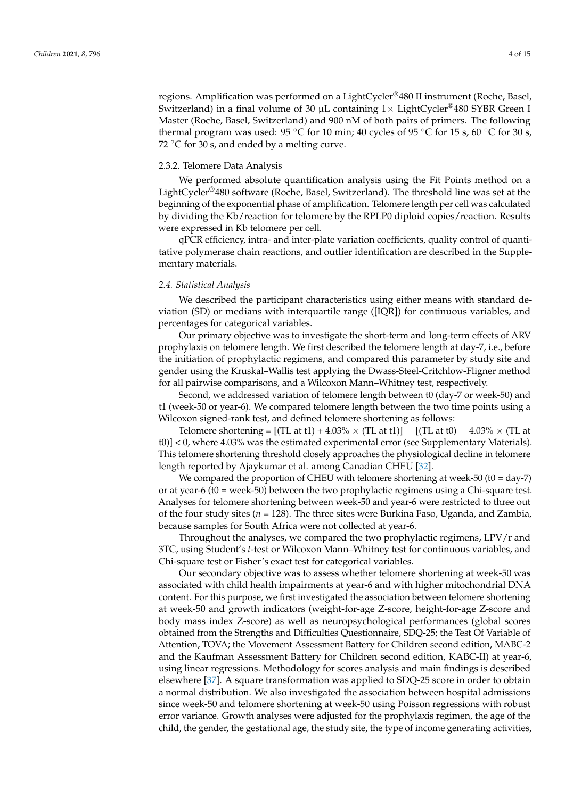regions. Amplification was performed on a LightCycler®480 II instrument (Roche, Basel, Switzerland) in a final volume of 30  $\mu$ L containing 1× LightCycler<sup>®</sup>480 SYBR Green I Master (Roche, Basel, Switzerland) and 900 nM of both pairs of primers. The following thermal program was used:  $95 \degree C$  for 10 min; 40 cycles of  $95 \degree C$  for 15 s, 60  $\degree C$  for 30 s, 72  $\degree$ C for 30 s, and ended by a melting curve.

#### 2.3.2. Telomere Data Analysis

We performed absolute quantification analysis using the Fit Points method on a LightCycler®480 software (Roche, Basel, Switzerland). The threshold line was set at the beginning of the exponential phase of amplification. Telomere length per cell was calculated by dividing the Kb/reaction for telomere by the RPLP0 diploid copies/reaction. Results were expressed in Kb telomere per cell.

qPCR efficiency, intra- and inter-plate variation coefficients, quality control of quantitative polymerase chain reactions, and outlier identification are described in the Supplementary materials.

#### *2.4. Statistical Analysis*

We described the participant characteristics using either means with standard deviation (SD) or medians with interquartile range ([IQR]) for continuous variables, and percentages for categorical variables.

Our primary objective was to investigate the short-term and long-term effects of ARV prophylaxis on telomere length. We first described the telomere length at day-7, i.e., before the initiation of prophylactic regimens, and compared this parameter by study site and gender using the Kruskal–Wallis test applying the Dwass-Steel-Critchlow-Fligner method for all pairwise comparisons, and a Wilcoxon Mann–Whitney test, respectively.

Second, we addressed variation of telomere length between t0 (day-7 or week-50) and t1 (week-50 or year-6). We compared telomere length between the two time points using a Wilcoxon signed-rank test, and defined telomere shortening as follows:

Telomere shortening =  $[(TL at t1) + 4.03\% \times (TL at t1)] - [(TL at t0) - 4.03\% \times (TL at t1)]$ t0)] < 0, where 4.03% was the estimated experimental error (see Supplementary Materials). This telomere shortening threshold closely approaches the physiological decline in telomere length reported by Ajaykumar et al. among Canadian CHEU [32].

We compared the proportion of CHEU with telomere shortening at week-50 (t0 = day-7) or at year-6 (t0 = week-50) between the two prophylactic regimens using a Chi-square test. Analyses for telomere shortening between week-50 and year-6 were restricted to three out of the four study sites (*n* = 128). The three sites were Burkina Faso, Uganda, and Zambia, because samples for South Africa were not collected at year-6.

Throughout the analyses, we compared the two prophylactic regimens, LPV/r and 3TC, using Student's *t*-test or Wilcoxon Mann–Whitney test for continuous variables, and Chi-square test or Fisher's exact test for categorical variables.

Our secondary objective was to assess whether telomere shortening at week-50 was associated with child health impairments at year-6 and with higher mitochondrial DNA content. For this purpose, we first investigated the association between telomere shortening at week-50 and growth indicators (weight-for-age Z-score, height-for-age Z-score and body mass index Z-score) as well as neuropsychological performances (global scores obtained from the Strengths and Difficulties Questionnaire, SDQ-25; the Test Of Variable of Attention, TOVA; the Movement Assessment Battery for Children second edition, MABC-2 and the Kaufman Assessment Battery for Children second edition, KABC-II) at year-6, using linear regressions. Methodology for scores analysis and main findings is described elsewhere [37]. A square transformation was applied to SDQ-25 score in order to obtain a normal distribution. We also investigated the association between hospital admissions since week-50 and telomere shortening at week-50 using Poisson regressions with robust error variance. Growth analyses were adjusted for the prophylaxis regimen, the age of the child, the gender, the gestational age, the study site, the type of income generating activities,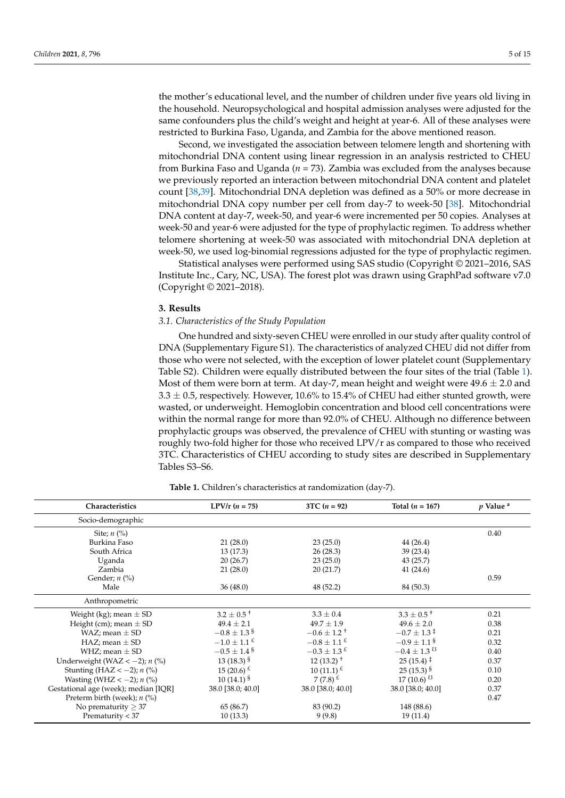the mother's educational level, and the number of children under five years old living in the household. Neuropsychological and hospital admission analyses were adjusted for the same confounders plus the child's weight and height at year-6. All of these analyses were restricted to Burkina Faso, Uganda, and Zambia for the above mentioned reason.

Second, we investigated the association between telomere length and shortening with mitochondrial DNA content using linear regression in an analysis restricted to CHEU from Burkina Faso and Uganda (*n* = 73). Zambia was excluded from the analyses because we previously reported an interaction between mitochondrial DNA content and platelet count [38,39]. Mitochondrial DNA depletion was defined as a 50% or more decrease in mitochondrial DNA copy number per cell from day-7 to week-50 [38]. Mitochondrial DNA content at day-7, week-50, and year-6 were incremented per 50 copies. Analyses at week-50 and year-6 were adjusted for the type of prophylactic regimen. To address whether telomere shortening at week-50 was associated with mitochondrial DNA depletion at week-50, we used log-binomial regressions adjusted for the type of prophylactic regimen.

Statistical analyses were performed using SAS studio (Copyright © 2021–2016, SAS Institute Inc., Cary, NC, USA). The forest plot was drawn using GraphPad software v7.0 (Copyright © 2021–2018).

#### **3. Results**

#### *3.1. Characteristics of the Study Population*

One hundred and sixty-seven CHEU were enrolled in our study after quality control of DNA (Supplementary Figure S1). The characteristics of analyzed CHEU did not differ from those who were not selected, with the exception of lower platelet count (Supplementary Table S2). Children were equally distributed between the four sites of the trial (Table 1). Most of them were born at term. At day-7, mean height and weight were  $49.6 \pm 2.0$  and  $3.3 \pm 0.5$ , respectively. However, 10.6% to 15.4% of CHEU had either stunted growth, were wasted, or underweight. Hemoglobin concentration and blood cell concentrations were within the normal range for more than 92.0% of CHEU. Although no difference between prophylactic groups was observed, the prevalence of CHEU with stunting or wasting was roughly two-fold higher for those who received LPV/r as compared to those who received 3TC. Characteristics of CHEU according to study sites are described in Supplementary Tables S3–S6.

| Characteristics                      | $LPV/r (n = 75)$            | $3TC (n = 92)$              | Total $(n = 167)$           | $p$ Value <sup>a</sup> |
|--------------------------------------|-----------------------------|-----------------------------|-----------------------------|------------------------|
| Socio-demographic                    |                             |                             |                             |                        |
| Site; $n$ $\left(\% \right)$         |                             |                             |                             | 0.40                   |
| Burkina Faso                         | 21(28.0)                    | 23(25.0)                    | 44(26.4)                    |                        |
| South Africa                         | 13(17.3)                    | 26(28.3)                    | 39(23.4)                    |                        |
| Uganda                               | 20(26.7)                    | 23(25.0)                    | 43(25.7)                    |                        |
| Zambia                               | 21(28.0)                    | 20(21.7)                    | 41(24.6)                    |                        |
| Gender; $n$ (%)                      |                             |                             |                             | 0.59                   |
| Male                                 | 36(48.0)                    | 48 (52.2)                   | 84 (50.3)                   |                        |
| Anthropometric                       |                             |                             |                             |                        |
| Weight (kg); mean $\pm$ SD           | $3.2 \pm 0.5^+$             | $3.3 \pm 0.4$               | $3.3 \pm 0.5^+$             | 0.21                   |
| Height (cm); mean $\pm$ SD           | $49.4 \pm 2.1$              | $49.7 \pm 1.9$              | $49.6 \pm 2.0$              | 0.38                   |
| WAZ; mean $\pm$ SD                   | $-0.8 \pm 1.3$ <sup>§</sup> | $-0.6 \pm 1.2^+$            | $-0.7 \pm 1.3^{\ddagger}$   | 0.21                   |
| $HAZ$ ; mean $\pm$ SD                | $-1.0 \pm 1.1^{\text{ f}}$  | $-0.8 \pm 1.1^{\text{ f}}$  | $-0.9 \pm 1.1$ \$           | 0.32                   |
| WHZ; mean $\pm$ SD                   | $-0.5 \pm 1.4$ \$           | $-0.3 \pm 1.3$ <sup>£</sup> | $-0.4 \pm 1.3$ <sup>3</sup> | 0.40                   |
| Underweight (WAZ < $-2$ ); n (%)     | 13 (18.3) $\frac{5}{5}$     | $12(13.2)^{+}$              | $25(15.4)$ <sup>‡</sup>     | 0.37                   |
| Stunting (HAZ < -2); $n$ (%)         | 15 (20.6) $^{t}$            | 10 (11.1) $\frac{1}{2}$     | $25(15.3)^{S}$              | 0.10                   |
| Wasting (WHZ $<-2$ ); n (%)          | $10(14.1)^{S}$              | 7 $(7.8)^{E}$               | $17(10.6)^{U}$              | 0.20                   |
| Gestational age (week); median [IQR] | 38.0 [38.0; 40.0]           | 38.0 [38.0; 40.0]           | 38.0 [38.0; 40.0]           | 0.37                   |
| Preterm birth (week); $n$ (%)        |                             |                             |                             | 0.47                   |
| No prematurity $\geq 37$             | 65 (86.7)                   | 83 (90.2)                   | 148 (88.6)                  |                        |
| Prematurity $<$ 37                   | 10(13.3)                    | 9(9.8)                      | 19(11.4)                    |                        |

**Table 1.** Children's characteristics at randomization (day-7).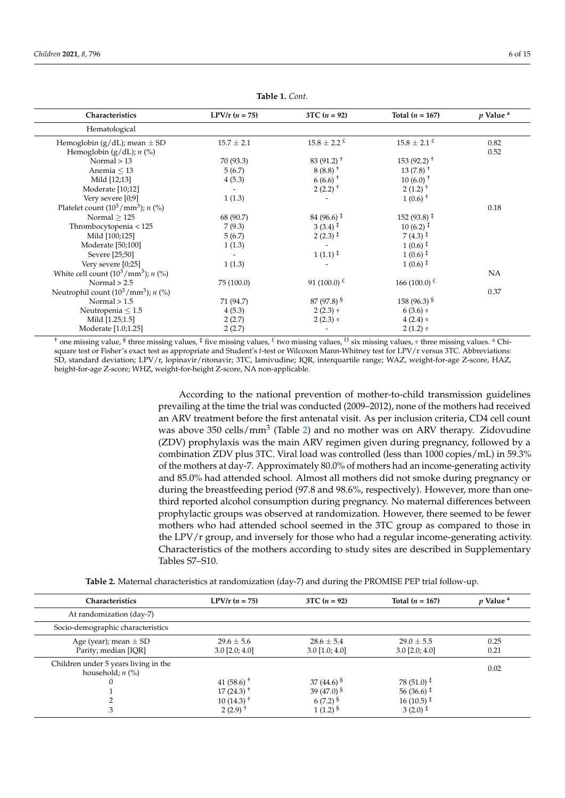| Characteristics                                         | $LPV/r (n = 75)$ | $3TC (n = 92)$                            | Total $(n = 167)$                   | $p$ Value <sup>a</sup> |
|---------------------------------------------------------|------------------|-------------------------------------------|-------------------------------------|------------------------|
| Hematological                                           |                  |                                           |                                     |                        |
| Hemoglobin ( $g/dL$ ); mean $\pm$ SD                    | $15.7 \pm 2.1$   | $15.8 \pm 2.2$ $^{E}$                     | $15.8 \pm 2.1^{\pm}$                | 0.82                   |
| Hemoglobin ( $g/dL$ ); $n$ (%)                          |                  |                                           |                                     | 0.52                   |
| Normal $> 13$                                           | 70 (93.3)        | 83 (91.2) <sup><math>+</math></sup>       | $153(92.2)^{+}$                     |                        |
| Anemia $\leq 13$                                        | 5(6.7)           | $8(8.8)$ <sup>+</sup>                     | $13(7.8)$ <sup>+</sup>              |                        |
| Mild [12;13]                                            | 4(5.3)           | $6(6.6)$ <sup>+</sup>                     | $10(6.0)$ <sup>+</sup>              |                        |
| Moderate [10;12]                                        |                  | $2(2.2)$ <sup>+</sup>                     | $2(1.2)$ <sup>+</sup>               |                        |
| Very severe [0;9]                                       | 1(1.3)           |                                           | $1(0.6)$ <sup>+</sup>               |                        |
| Platelet count $(10^3/mm^3)$ ; n $(\%)$                 |                  |                                           |                                     | 0.18                   |
| Normal $>125$                                           | 68 (90.7)        | $84(96.6)$ <sup>+</sup>                   | 152 (93.8) $\ddagger$               |                        |
| Thrombocytopenia < 125                                  | 7(9.3)           | $3(3.4)$ <sup><math>\ddagger</math></sup> | $10(6.2)^{\ddagger}$                |                        |
| Mild [100;125]                                          | 5(6.7)           | $2(2.3)^{\ddagger}$                       | $7(4.3)^{\ddagger}$                 |                        |
| Moderate [50;100]                                       | 1(1.3)           |                                           | $1(0.6)^{\ddagger}$                 |                        |
| Severe [25;50]                                          |                  | $1(1.1)^{\ddagger}$                       | $1(0.6)^{\ddagger}$                 |                        |
| Very severe [0;25]                                      | 1(1.3)           |                                           | $1(0.6)^{\ddagger}$                 |                        |
| White cell count $(10^3/\text{mm}^3)$ ; <i>n</i> $(\%)$ |                  |                                           |                                     | <b>NA</b>              |
| Normal $> 2.5$                                          | 75 (100.0)       | 91 (100.0) $\epsilon$                     | 166 (100.0) $\frac{\varepsilon}{2}$ |                        |
| Neutrophil count $(10^3/mm^3)$ ; n (%)                  |                  |                                           |                                     | 0.37                   |
| Normal $> 1.5$                                          | 71 (94.7)        | $87(97.8)^{S}$                            | $158(96.3)^{S}$                     |                        |
| Neutropenia $\leq 1.5$                                  | 4(5.3)           | $2(2.3)$ s                                | $6(3.6)$ s                          |                        |
| Mild [1.25;1.5]                                         | 2(2.7)           | $2(2.3)$ s                                | $4(2.4)$ s                          |                        |
| Moderate [1.0;1.25]                                     | 2(2.7)           |                                           | $2(1.2)$ s                          |                        |

 $Table 1.$  *Cont.* 

Preterm birth (week); *n* (%) 0.47

 $G_{\rm eff}$  38.0  $\pm$  38.0  $\pm$  38.0  $\pm$  38.0  $\pm$  38.0  $\pm$  38.0  $\pm$  38.0  $\pm$  38.0  $\pm$  38.0  $\pm$  38.0  $\pm$ 

Stunting (HAZ < −2); *n* (%) 15 (20.6) £ 10 (11.1) £ 25 (15.3) § 0.10

Preterm birth (week); *n* (%) 0.47

Gestational age (week); median [IQR] 38.0 [38.0; 40.0] 38.0 [38.0; 40.0] 38.0 [38.0; 40.0] 0.37

one missing value,  $\delta$  three missing values,  $\delta$  five missing values,  $\delta$  two missing values,  $\delta$  is standard values;  $\delta$  is  $\delta$  in  $\delta$ . SD, standard deviation; LPV/r, lopinavir/ritonavir; 3TC, lamivudine; IQR, interquartile range; WAZ, weight-for-age Z-score <sup>†</sup> one missing value, <sup>§</sup> three missing values,  $\frac{1}{4}$  five missing values,  $\frac{1}{4}$  for the missing values,  $\frac{1}{4}$  for the missing values,  $\frac{1}{4}$  for the missing values,  $\frac{1}{4}$  for the missing values.  $\frac{1$ square test or Fisher's exact test as appropriate and Student's *t*-test or Wilcoxon Mann-Whitney test for LPV/r versus 3TC. Abbreviations:<br>CD 1.1.1.1.1.1.1.1.1.1.2.1.1.1.2.1.1.1.2.1.1.1.2.1.1.1.2.1.1.1.1.1.1.1.1.1.1.1.1.1 WAZ, weight-for-age Z-score, HAZ, height-for-age Z-score; WHZ, weight-for-height Z-score, NA non-applicable. WAZ, weight-for-age Z-score, HAZ, height-for-age Z-score; WHZ, weight-for-height Z-score, NA non-applicable.  $\mu$  and  $\mu$  age  $\mu$ -score, HAZ, weight-for-acign  $\mu$  score, NA non-applicable. square test or risner s exact test as appropriate and student s r-test or wilcoxon Mann-whitney test for LPV/r versus 51C. Abbreviations:<br>SD, standard deviation; LPV/r, lopinavir/ritonavir; 3TC, lamivudine; IQR, interquart values or Fisheria and Studien, 2.1 °/1, ophilavn't, monavn't, or C, lahin dahib, took, menganime range, viria, weight for lage 2 or<br>height-for-age Z-score; WHZ, weight-for-height Z-score, NA non-applicable.  $\mathcal{S}$  absolute 3TC. SD, standard deviation;  $\mathcal{S}$ 

> According to the national prevention of mother-to-child transmission guid prevailing at the time the trial was conducted (2009–2012), none of the mothers had received examing at the time the that was conducted (2009–2012), none of the mothers had required. was above 350 cells/mm<sup>3</sup> (Table 2) and no mother was on ARV therapy. Zidov  $(2\text{DV})$  prophylaxis was the main ARV regimen given during pregnancy, follower  $(22 \times 7)$  propriyated was the main river regiment given almost programs, reference<br>combination ZDV plus 3TC. Viral load was controlled (less than 1000 copies/mL) in of the mothers at day-7. Approximately 80.0% of mothers had an income-generating and the mothers at day-7. and 85.0% had attended school. Almost all mothers did not smoke during pregnancy during the breastfeeding period (97.8 and 98.6%, respectively). However, more than value the time the time the time the time the mother was conducted (2009–2012), non $t_{\rm b}$  than one-third reported alcohol consumption during pregnancy. No maternal differences being pregnancy. According to the national prevention of mother-to-child transmission guidelines pre-According to the national prevention of mother-to-child transmission guidelines an ARV treatment before the first antenatal visit. As per inclusion criteria, CD4 cell count was above  $350$  cells/mm<sup>3</sup> (Table 2) and no mother was on ARV therapy. Zidovudine (ZDV) prophylaxis was the main ARV regimen given during pregnancy, followed by a combination ZDV plus 3TC. Viral load was controlled (less than 1000 copies/mL) in 59.3% of the mothers at day-7. Approximately 80.0% of mothers had an income-generating activity and 85.0% had attended school. Almost all mothers did not smoke during pregnancy or during the breastfeeding period (97.8 and 98.6%, respectively). However, more than onethird reported alcohol consumption during pregnancy. No maternal differences between WAZ, weight-for-age Z-score, HAZ, height-for-age Z-score; WHZ, weight-for-height Z-score, NA non-applicable. and reported aronor consumption during pregnancy. To material directives between<br>prophylactic groups was observed at randomization. However, there seemed to be fewer propriy lactic groups was observed at randomization. Trowever, after seemed to be fewer<br>mothers who had attended school seemed in the 3TC group as compared to those in the LPV/r group, and inversely for those who had a regular income-generating activity. Characteristics of the mothers according to study sites are described in Supplementary Tables S7–S10.

| Table 2. Maternal characteristics at randomization (day-7) and during the PROMISE PEP trial follow-up. |  |  |  |
|--------------------------------------------------------------------------------------------------------|--|--|--|
|--------------------------------------------------------------------------------------------------------|--|--|--|

| Characteristics                                            | $LPV/r (n = 75)$                    | $3TC (n = 92)$                   | Total $(n = 167)$                           | <i>v</i> Value <sup>a</sup> |
|------------------------------------------------------------|-------------------------------------|----------------------------------|---------------------------------------------|-----------------------------|
| At randomization (day-7)                                   |                                     |                                  |                                             |                             |
| Socio-demographic characteristics                          |                                     |                                  |                                             |                             |
| Age (year); mean $\pm$ SD<br>Parity; median [IQR]          | $29.6 \pm 5.6$<br>$3.0$ [2.0; 4.0]  | $28.6 + 5.4$<br>$3.0$ [1.0; 4.0] | $29.0 + 5.5$<br>$3.0$ [2.0; 4.0]            | 0.25<br>0.21                |
| Children under 5 years living in the<br>household; $n$ (%) |                                     |                                  |                                             | 0.02                        |
| 0                                                          | 41 (58.6) <sup><math>+</math></sup> | $37(44.6)^{5}$                   | $78(51.0)^{4}$                              |                             |
|                                                            | $17(24.3)$ <sup>+</sup>             | 39 $(47.0)$ §                    | $56(36.6)$ <sup><math>\ddagger</math></sup> |                             |
|                                                            | $10(14.3)$ <sup>+</sup>             | $6(7.2)^{5}$                     | $16(10.5)^{+}$                              |                             |
|                                                            | $2(2.9)$ <sup>+</sup>               | $1(1.2)^{S}$                     | $3(2.0)$ <sup>1</sup>                       |                             |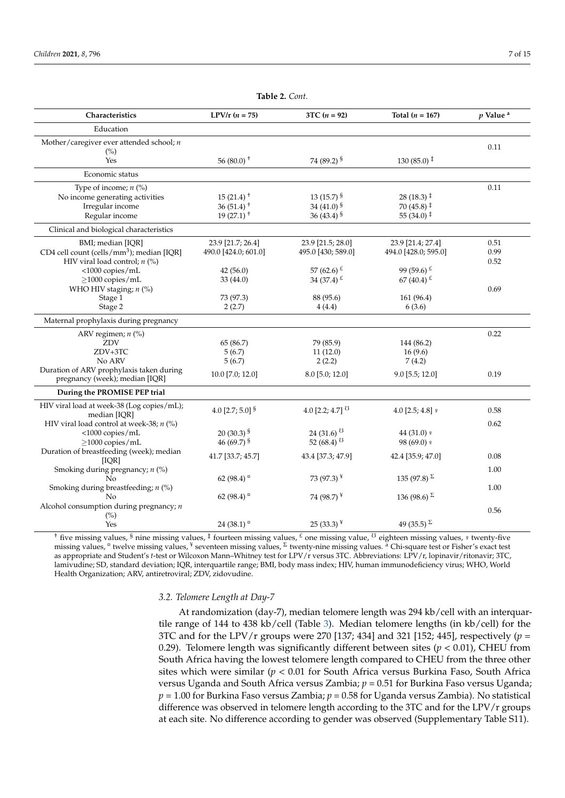| Characteristics                                       | $LPV/r (n = 75)$                    | $3TC (n = 92)$           | Total $(n = 167)$              | $p$ Value <sup>a</sup> |
|-------------------------------------------------------|-------------------------------------|--------------------------|--------------------------------|------------------------|
| Education                                             |                                     |                          |                                |                        |
| Mother/caregiver ever attended school; $n$            |                                     |                          |                                | 0.11                   |
| (%)                                                   |                                     |                          |                                |                        |
| Yes                                                   | 56 (80.0) $+$                       | 74 (89.2) §              | $130(85.0)$ <sup>‡</sup>       |                        |
| Economic status                                       |                                     |                          |                                |                        |
| Type of income; $n$ (%)                               |                                     |                          |                                | 0.11                   |
| No income generating activities                       | $15(21.4)$ <sup>+</sup>             | 13 (15.7) $\frac{1}{5}$  | $28(18.3)$ <sup>‡</sup>        |                        |
| Irregular income                                      | 36 (51.4) <sup><math>+</math></sup> | 34 (41.0) $\frac{1}{5}$  | $70(45.8)$ <sup>‡</sup>        |                        |
| Regular income                                        | $19(27.1)^{+}$                      | 36 $(43.4)$ <sup>§</sup> | 55 (34.0) $\ddagger$           |                        |
| Clinical and biological characteristics               |                                     |                          |                                |                        |
| BMI; median [IQR]                                     | 23.9 [21.7; 26.4]                   | 23.9 [21.5; 28.0]        | 23.9 [21.4; 27.4]              | 0.51                   |
| CD4 cell count (cells/mm <sup>3</sup> ); median [IQR] | 490.0 [424.0; 601.0]                | 495.0 [430; 589.0]       | 494.0 [428.0; 595.0]           | 0.99                   |
| HIV viral load control; $n$ (%)                       |                                     |                          |                                | 0.52                   |
| <1000 copies/mL                                       | 42(56.0)                            | 57 (62.6) $\frac{1}{2}$  | 99 (59.6) $E$                  |                        |
| $\geq$ 1000 copies/mL                                 | 33 (44.0)                           | 34 (37.4) $\pm$          | 67 (40.4) $\pm$                |                        |
| WHO HIV staging; n (%)                                |                                     |                          |                                | 0.69                   |
| Stage 1                                               | 73 (97.3)                           | 88 (95.6)                | 161(96.4)                      |                        |
| Stage 2                                               | 2(2.7)                              | 4(4.4)                   | 6(3.6)                         |                        |
| Maternal prophylaxis during pregnancy                 |                                     |                          |                                |                        |
| ARV regimen; $n$ (%)                                  |                                     |                          |                                | 0.22                   |
| ZDV                                                   | 65 (86.7)                           | 79 (85.9)                | 144 (86.2)                     |                        |
| ZDV+3TC                                               | 5(6.7)                              | 11(12.0)                 | 16(9.6)                        |                        |
| No ARV                                                | 5(6.7)                              | 2(2.2)                   | 7(4.2)                         |                        |
| Duration of ARV prophylaxis taken during              |                                     |                          |                                |                        |
| pregnancy (week); median [IQR]                        | 10.0 [7.0; 12.0]                    | 8.0 [5.0; 12.0]          | 9.0 [5.5; 12.0]                | 0.19                   |
| During the PROMISE PEP trial                          |                                     |                          |                                |                        |
| HIV viral load at week-38 (Log copies/mL);            | 4.0 [2.7; 5.0] $\frac{8}{3}$        | 4.0 [2.2; 4.7] $^{0}$    | $4.0$ [2.5; 4.8] $\frac{9}{5}$ | 0.58                   |
| median [IQR]                                          |                                     |                          |                                |                        |
| HIV viral load control at week-38; n (%)              |                                     |                          |                                | 0.62                   |
| <1000 copies/mL                                       | 20 $(30.3)^{S}$                     | 24 (31.6) $0$            | 44 (31.0) 9                    |                        |
| $\geq$ 1000 copies/mL                                 | 46 (69.7) $\frac{1}{5}$             | 52 (68.4) $^{13}$        | 98 (69.0) s                    |                        |
| Duration of breastfeeding (week); median<br>[IOR]     | 41.7 [33.7; 45.7]                   | 43.4 [37.3; 47.9]        | 42.4 [35.9; 47.0]              | 0.08                   |
| Smoking during pregnancy; $n$ (%)                     |                                     |                          |                                | 1.00                   |
| No                                                    | 62 (98.4) $\degree$                 | 73 (97.3) $*$            | 135 (97.8) $\Sigma$            |                        |
| Smoking during breastfeeding; $n$ (%)                 |                                     |                          |                                | 1.00                   |
| No.                                                   | 62 (98.4) $^{\circ}$                | 74 (98.7) $*$            | 136 (98.6) $\Sigma$            |                        |
| Alcohol consumption during pregnancy; $n$             |                                     |                          |                                |                        |
| $(\%)$                                                |                                     |                          |                                | 0.56                   |
| Yes                                                   | 24 (38.1) $^{\circ}$                | $25(33.3)^{*}$           | 49 (35.5) $\Sigma$             |                        |

Table 2. Cont.

Zambia 21 (28.0) 20 (21.7) 41 (24.6)

Gender; *n* (%) 0.59

<sup>†</sup> five missing values, <sup>§</sup> nine missing values, <sup>‡</sup> fourteen missing values, <sup>£</sup> one missing value, <sup>U</sup> eighteen missing values, <sup>9</sup> twenty-five nussing values, twelve hussing values, seventeen hussing values, twenty-hine hussing values. Chronolate lest of risher s exact lest<br>as appropriate and Student's t-test or Wilcoxon Mann–Whitney test for LPV/r versus 3TC. Ab as appropriate and Student's 1-test or Wilcoxon Mann–Whitney test for LPV/f Versus 31C. Abbreviations: LPV/f, lopinavir/fitonavir; 31C,<br>lamivudine; SD, standard deviation; IQR, interquartile range; BMI, body mass index; HI Health Organization; ARV, antiretroviral; ZDV, zidovudine. missing values,  $\sigma$  twelve missing values,  $\frac{y}{\sigma}$  seventeen missing values,  $\frac{y}{\sigma}$  twenty-nine missing values.  $\frac{a}{\sigma}$  Chi-square test or Fisher's exact test es,  $\frac{8}{3}$  nine missing values,  $\frac{1}{4}$  fourteen missing values,  $\frac{1}{4}$  one missing value,  $\frac{1}{4}$  eighteen missing values,  $\frac{1}{4}$  twenty-five

### 3.2. Telomere Length at Day-7

At randomization (day-7), median telomere length was 294 kb/cell with an interguartile range of 144 to 438 kb/cell (Table 3). Median telomere lengths (in kb/cell) for the At randomization (day-7), median telomere length was 294 kb/cell with an interquar-<br>argues of 144 to 428 kb/cell (Table 3). Median telomere langths (in lb/cell) for the 3TC and for the LPV/r groups were  $270$  [137; 434] and 321 [152; 445], respectively  $(p =$ 0.29). Telomere length was significantly different between sites  $(p < 0.01)$ , CHEU from  $\sum_{i=1}^{N}$  referred tength was eigenfielding almostic between energy  $\lambda$  collections from the first from the three other sites which were similar (*p* < 0.01 for South Africa versus Burkina Faso, South Africa of the mothers were encome-generating and the mother section were an income enterpression of mothers had and South Africa versus Zambia; *p* = 0.51 for Burkina Faso versus Uganda;  $p = 1.00$  for Burkina Faso versus Zambia;  $p = 0.58$  for Uganda versus Zambia). No statistical difference was observed in telomere length according to the 3TC and for the LPV/r groups at each site. No difference according to gender was observed (Supplementary Table S11).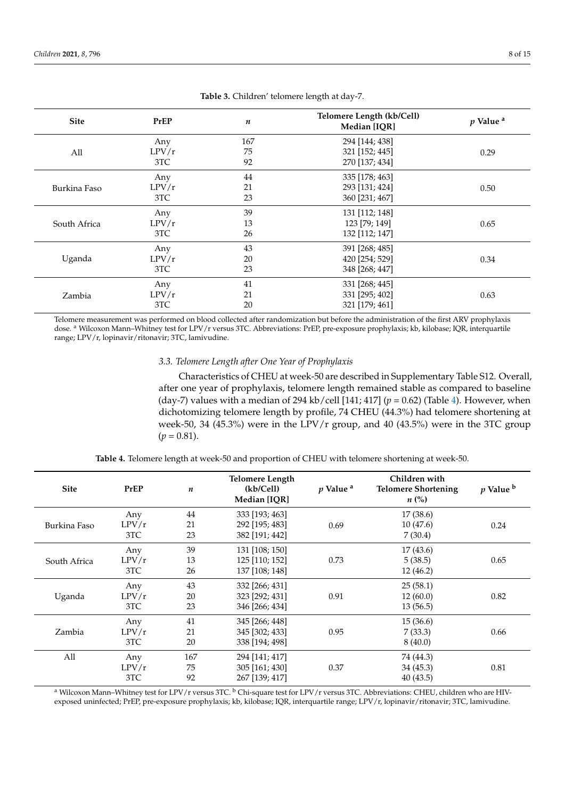| <b>Site</b>  | PrEP  | Telomere Length (kb/Cell)<br>n<br>Median [IQR] |                | $p$ Value <sup>a</sup> |
|--------------|-------|------------------------------------------------|----------------|------------------------|
|              | Any   | 167                                            | 294 [144; 438] |                        |
| All          | LPV/r | 75                                             | 321 [152; 445] | 0.29                   |
|              | 3TC   | 92                                             | 270 [137; 434] |                        |
| Burkina Faso | Any   | 44                                             | 335 [178; 463] |                        |
|              | LPV/r | 21                                             | 293 [131; 424] | 0.50                   |
|              | 3TC   | 23                                             | 360 [231; 467] |                        |
|              | Any   | 39                                             | 131 [112; 148] |                        |
| South Africa | LPV/r | 13                                             | 123 [79; 149]  | 0.65                   |
|              | 3TC   | 26                                             | 132 [112; 147] |                        |
| Uganda       | Any   | 43                                             | 391 [268; 485] |                        |
|              | LPV/r | 20                                             | 420 [254; 529] | 0.34                   |
|              | 3TC   | 23                                             | 348 [268; 447] |                        |
| Zambia       | Any   | 41                                             | 331 [268; 445] |                        |
|              | LPV/r | 21                                             | 331 [295; 402] | 0.63                   |
|              | 3TC   | 20                                             | 321 [179; 461] |                        |

**Table 3.** Children' telomere length at day-7.

Telomere measurement was performed on blood collected after randomization but before the administration of the first ARV prophylaxis dose. <sup>a</sup> Wilcoxon Mann-Whitney test for LPV/r versus 3TC. Abbreviations: PrEP, pre-exposure prophylaxis; kb, kilobase; IQR, interquartile range; LPV/r, lopinavir/ritonavir; 3TC, lamivudine.

#### *3.3. Telomere Length after One Year of Prophylaxis*

Characteristics of CHEU at week-50 are described in Supplementary Table S12. Overall, after one year of prophylaxis, telomere length remained stable as compared to baseline (day-7) values with a median of 294 kb/cell [141; 417] ( $p = 0.62$ ) (Table 4). However, when dichotomizing telomere length by profile, 74 CHEU (44.3%) had telomere shortening at week-50, 34 (45.3%) were in the LPV/r group, and 40 (43.5%) were in the 3TC group  $(p = 0.81)$ .

**Table 4.** Telomere length at week-50 and proportion of CHEU with telomere shortening at week-50.

| <b>Site</b>  | PrEP  | $\boldsymbol{n}$ | <b>Telomere Length</b><br>(kb/Cell)<br>Median [IQR] | p Value <sup>a</sup> | Children with<br><b>Telomere Shortening</b><br>$n\ (\%)$ | p Value b |
|--------------|-------|------------------|-----------------------------------------------------|----------------------|----------------------------------------------------------|-----------|
|              | Any   | 44               | 333 [193; 463]                                      |                      | 17(38.6)                                                 |           |
| Burkina Faso | LPV/r | 21               | 292 [195; 483]                                      | 0.69                 | 10(47.6)                                                 | 0.24      |
|              | 3TC   | 23               | 382 [191; 442]                                      |                      | 7(30.4)                                                  |           |
|              | Any   | 39               | 131 [108; 150]                                      |                      | 17(43.6)                                                 |           |
| South Africa | LPV/r | 13               | 125 [110; 152]                                      | 0.73                 | 5(38.5)                                                  | 0.65      |
|              | 3TC   | 26               | 137 [108; 148]                                      |                      | 12(46.2)                                                 |           |
|              | Any   | 43               | 332 [266; 431]                                      |                      | 25(58.1)                                                 |           |
| Uganda       | LPV/r | 20               | 323 [292; 431]                                      | 0.91                 | 12(60.0)                                                 | 0.82      |
|              | 3TC   | 23               | 346 [266; 434]                                      |                      | 13(56.5)                                                 |           |
|              | Any   | 41               | 345 [266; 448]                                      |                      | 15(36.6)                                                 |           |
| Zambia       | LPV/r | 21               | 345 [302; 433]                                      | 0.95                 | 7(33.3)                                                  | 0.66      |
|              | 3TC   | 20               | 338 [194; 498]                                      |                      | 8(40.0)                                                  |           |
| All          | Any   | 167              | 294 [141; 417]                                      |                      | 74 (44.3)                                                |           |
|              | LPV/r | 75               | 305 [161; 430]                                      | 0.37                 | 34(45.3)                                                 | 0.81      |
|              | 3TC   | 92               | 267 [139; 417]                                      |                      | 40 (43.5)                                                |           |

<sup>a</sup> Wilcoxon Mann–Whitney test for LPV/r versus 3TC. <sup>b</sup> Chi-square test for LPV/r versus 3TC. Abbreviations: CHEU, children who are HIVexposed uninfected; PrEP, pre-exposure prophylaxis; kb, kilobase; IQR, interquartile range; LPV/r, lopinavir/ritonavir; 3TC, lamivudine.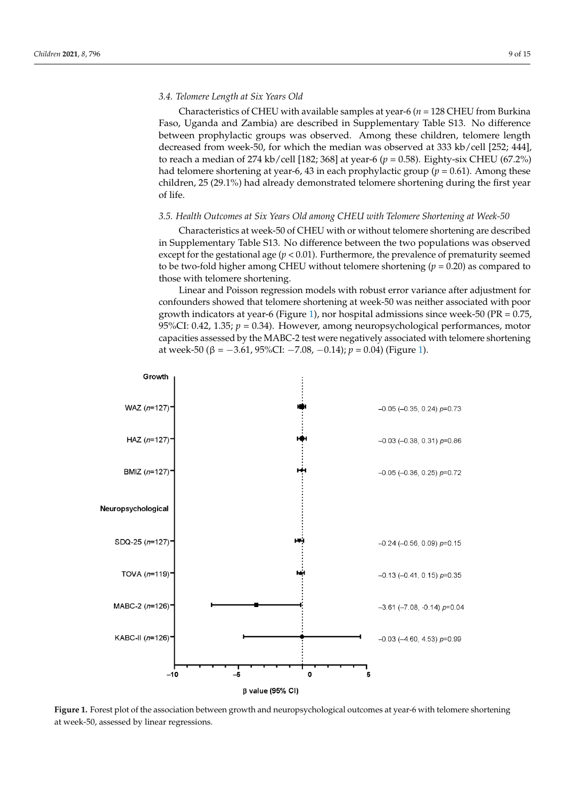#### *3.4. Telomere Length at Six Years Old*

Characteristics of CHEU with available samples at year-6 (*n* = 128 CHEU from Burkina Faso, Uganda and Zambia) are described in Supplementary Table S13. No difference between prophylactic groups was observed. Among these children, telomere length decreased from week-50, for which the median was observed at 333 kb/cell [252; 444], to reach a median of 274 kb/cell [182; 368] at year-6 (*p* = 0.58). Eighty-six CHEU (67.2%) had telomere shortening at year-6, 43 in each prophylactic group ( $p = 0.61$ ). Among these children, 25 (29.1%) had already demonstrated telomere shortening during the first year of life.

#### *3.5. Health Outcomes at Six Years Old among CHEU with Telomere Shortening at Week-50*

Characteristics at week-50 of CHEU with or without telomere shortening are described in Supplementary Table S13. No difference between the two populations was observed except for the gestational age ( $p < 0.01$ ). Furthermore, the prevalence of prematurity seemed to be two-fold higher among CHEU without telomere shortening  $(p = 0.20)$  as compared to those with telomere shortening.

Linear and Poisson regression models with robust error variance after adjustment for confounders showed that telomere shortening at week-50 was neither associated with poor growth indicators at year-6 (Figure 1), nor hospital admissions since week-50 (PR = 0.75, 95%CI: 0.42, 1.35;  $p = 0.34$ ). However, among neuropsychological performances, motor capacities assessed by the MABC-2 test were negatively associated with telomere shortening at week-50 (β =  $-3.61$ , 95%CI:  $-7.08$ ,  $-0.14$ ); *p* = 0.04) (Figure 1).



**Figure 1.** Forest plot of the association between growth and neuropsychological outcomes at year-6 with telomere shortening at week-50, assessed by linear regressions.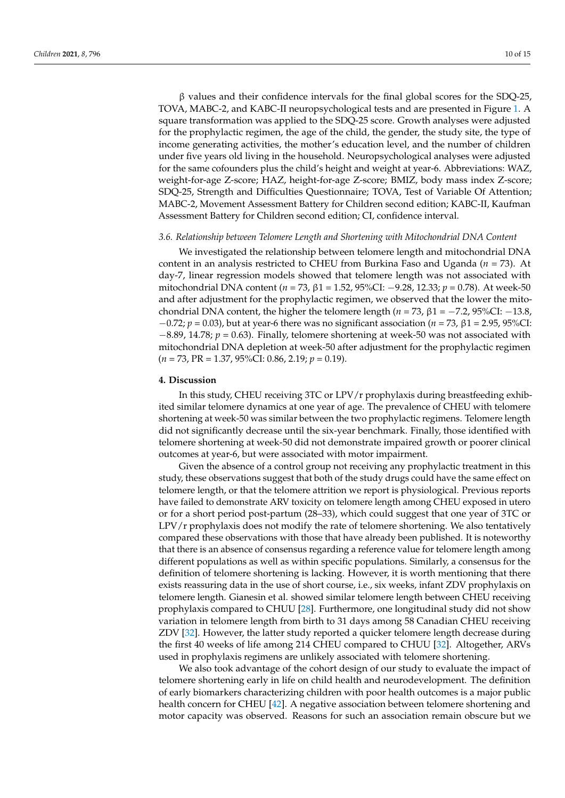β values and their confidence intervals for the final global scores for the SDQ-25, TOVA, MABC-2, and KABC-II neuropsychological tests and are presented in Figure 1. A square transformation was applied to the SDQ-25 score. Growth analyses were adjusted for the prophylactic regimen, the age of the child, the gender, the study site, the type of income generating activities, the mother's education level, and the number of children under five years old living in the household. Neuropsychological analyses were adjusted for the same cofounders plus the child's height and weight at year-6. Abbreviations: WAZ, weight-for-age Z-score; HAZ, height-for-age Z-score; BMIZ, body mass index Z-score; SDQ-25, Strength and Difficulties Questionnaire; TOVA, Test of Variable Of Attention; MABC-2, Movement Assessment Battery for Children second edition; KABC-II, Kaufman Assessment Battery for Children second edition; CI, confidence interval.

#### *3.6. Relationship between Telomere Length and Shortening with Mitochondrial DNA Content*

We investigated the relationship between telomere length and mitochondrial DNA content in an analysis restricted to CHEU from Burkina Faso and Uganda (*n* = 73). At day-7, linear regression models showed that telomere length was not associated with mitochondrial DNA content (*n* = 73, β1 = 1.52, 95%CI: −9.28, 12.33; *p* = 0.78). At week-50 and after adjustment for the prophylactic regimen, we observed that the lower the mitochondrial DNA content, the higher the telomere length ( $n = 73$ ,  $\beta$ 1 = −7.2, 95%CI: −13.8, −0.72; *p* = 0.03), but at year-6 there was no significant association (*n* = 73, β1 = 2.95, 95%CI: −8.89, 14.78; *p* = 0.63). Finally, telomere shortening at week-50 was not associated with mitochondrial DNA depletion at week-50 after adjustment for the prophylactic regimen (*n* = 73, PR = 1.37, 95%CI: 0.86, 2.19; *p* = 0.19).

#### **4. Discussion**

In this study, CHEU receiving 3TC or LPV/r prophylaxis during breastfeeding exhibited similar telomere dynamics at one year of age. The prevalence of CHEU with telomere shortening at week-50 was similar between the two prophylactic regimens. Telomere length did not significantly decrease until the six-year benchmark. Finally, those identified with telomere shortening at week-50 did not demonstrate impaired growth or poorer clinical outcomes at year-6, but were associated with motor impairment.

Given the absence of a control group not receiving any prophylactic treatment in this study, these observations suggest that both of the study drugs could have the same effect on telomere length, or that the telomere attrition we report is physiological. Previous reports have failed to demonstrate ARV toxicity on telomere length among CHEU exposed in utero or for a short period post-partum (28–33), which could suggest that one year of 3TC or LPV/r prophylaxis does not modify the rate of telomere shortening. We also tentatively compared these observations with those that have already been published. It is noteworthy that there is an absence of consensus regarding a reference value for telomere length among different populations as well as within specific populations. Similarly, a consensus for the definition of telomere shortening is lacking. However, it is worth mentioning that there exists reassuring data in the use of short course, i.e., six weeks, infant ZDV prophylaxis on telomere length. Gianesin et al. showed similar telomere length between CHEU receiving prophylaxis compared to CHUU [28]. Furthermore, one longitudinal study did not show variation in telomere length from birth to 31 days among 58 Canadian CHEU receiving ZDV [32]. However, the latter study reported a quicker telomere length decrease during the first 40 weeks of life among 214 CHEU compared to CHUU [32]. Altogether, ARVs used in prophylaxis regimens are unlikely associated with telomere shortening.

We also took advantage of the cohort design of our study to evaluate the impact of telomere shortening early in life on child health and neurodevelopment. The definition of early biomarkers characterizing children with poor health outcomes is a major public health concern for CHEU [42]. A negative association between telomere shortening and motor capacity was observed. Reasons for such an association remain obscure but we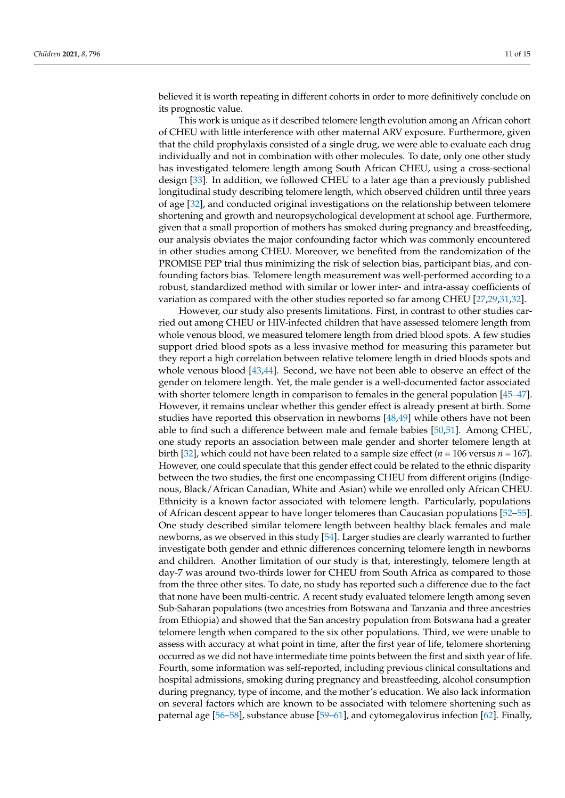believed it is worth repeating in different cohorts in order to more definitively conclude on its prognostic value.

This work is unique as it described telomere length evolution among an African cohort of CHEU with little interference with other maternal ARV exposure. Furthermore, given that the child prophylaxis consisted of a single drug, we were able to evaluate each drug individually and not in combination with other molecules. To date, only one other study has investigated telomere length among South African CHEU, using a cross-sectional design [33]. In addition, we followed CHEU to a later age than a previously published longitudinal study describing telomere length, which observed children until three years of age [32], and conducted original investigations on the relationship between telomere shortening and growth and neuropsychological development at school age. Furthermore, given that a small proportion of mothers has smoked during pregnancy and breastfeeding, our analysis obviates the major confounding factor which was commonly encountered in other studies among CHEU. Moreover, we benefited from the randomization of the PROMISE PEP trial thus minimizing the risk of selection bias, participant bias, and confounding factors bias. Telomere length measurement was well-performed according to a robust, standardized method with similar or lower inter- and intra-assay coefficients of variation as compared with the other studies reported so far among CHEU [27,29,31,32].

However, our study also presents limitations. First, in contrast to other studies carried out among CHEU or HIV-infected children that have assessed telomere length from whole venous blood, we measured telomere length from dried blood spots. A few studies support dried blood spots as a less invasive method for measuring this parameter but they report a high correlation between relative telomere length in dried bloods spots and whole venous blood [43,44]. Second, we have not been able to observe an effect of the gender on telomere length. Yet, the male gender is a well-documented factor associated with shorter telomere length in comparison to females in the general population [45–47]. However, it remains unclear whether this gender effect is already present at birth. Some studies have reported this observation in newborns [48,49] while others have not been able to find such a difference between male and female babies [50,51]. Among CHEU, one study reports an association between male gender and shorter telomere length at birth [32], which could not have been related to a sample size effect ( $n = 106$  versus  $n = 167$ ). However, one could speculate that this gender effect could be related to the ethnic disparity between the two studies, the first one encompassing CHEU from different origins (Indigenous, Black/African Canadian, White and Asian) while we enrolled only African CHEU. Ethnicity is a known factor associated with telomere length. Particularly, populations of African descent appear to have longer telomeres than Caucasian populations [52–55]. One study described similar telomere length between healthy black females and male newborns, as we observed in this study [54]. Larger studies are clearly warranted to further investigate both gender and ethnic differences concerning telomere length in newborns and children. Another limitation of our study is that, interestingly, telomere length at day-7 was around two-thirds lower for CHEU from South Africa as compared to those from the three other sites. To date, no study has reported such a difference due to the fact that none have been multi-centric. A recent study evaluated telomere length among seven Sub-Saharan populations (two ancestries from Botswana and Tanzania and three ancestries from Ethiopia) and showed that the San ancestry population from Botswana had a greater telomere length when compared to the six other populations. Third, we were unable to assess with accuracy at what point in time, after the first year of life, telomere shortening occurred as we did not have intermediate time points between the first and sixth year of life. Fourth, some information was self-reported, including previous clinical consultations and hospital admissions, smoking during pregnancy and breastfeeding, alcohol consumption during pregnancy, type of income, and the mother's education. We also lack information on several factors which are known to be associated with telomere shortening such as paternal age [56–58], substance abuse [59–61], and cytomegalovirus infection [62]. Finally,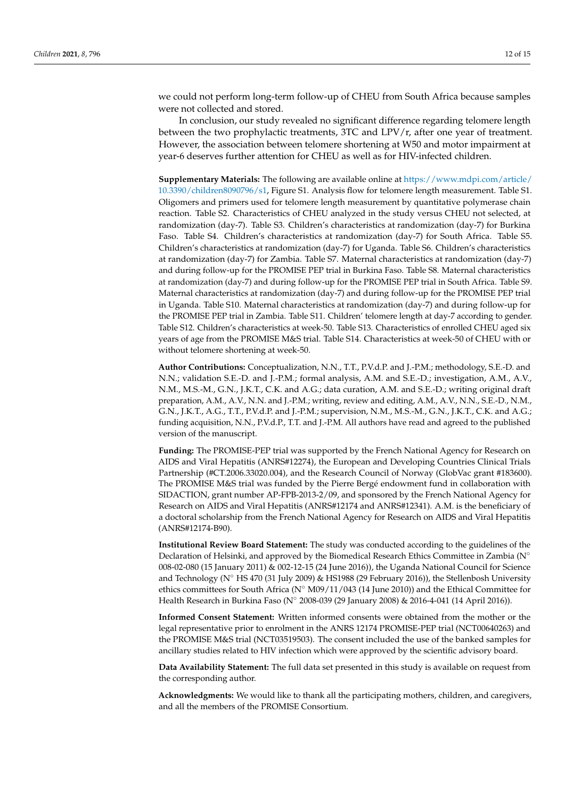we could not perform long-term follow-up of CHEU from South Africa because samples were not collected and stored.

In conclusion, our study revealed no significant difference regarding telomere length between the two prophylactic treatments, 3TC and LPV/r, after one year of treatment. However, the association between telomere shortening at W50 and motor impairment at year-6 deserves further attention for CHEU as well as for HIV-infected children.

**Supplementary Materials:** The following are available online at [https://www.mdpi.com/article/](https://www.mdpi.com/article/10.3390/children8090796/s1) [10.3390/children8090796/s1,](https://www.mdpi.com/article/10.3390/children8090796/s1) Figure S1. Analysis flow for telomere length measurement. Table S1. Oligomers and primers used for telomere length measurement by quantitative polymerase chain reaction. Table S2. Characteristics of CHEU analyzed in the study versus CHEU not selected, at randomization (day-7). Table S3. Children's characteristics at randomization (day-7) for Burkina Faso. Table S4. Children's characteristics at randomization (day-7) for South Africa. Table S5. Children's characteristics at randomization (day-7) for Uganda. Table S6. Children's characteristics at randomization (day-7) for Zambia. Table S7. Maternal characteristics at randomization (day-7) and during follow-up for the PROMISE PEP trial in Burkina Faso. Table S8. Maternal characteristics at randomization (day-7) and during follow-up for the PROMISE PEP trial in South Africa. Table S9. Maternal characteristics at randomization (day-7) and during follow-up for the PROMISE PEP trial in Uganda. Table S10. Maternal characteristics at randomization (day-7) and during follow-up for the PROMISE PEP trial in Zambia. Table S11. Children' telomere length at day-7 according to gender. Table S12. Children's characteristics at week-50. Table S13. Characteristics of enrolled CHEU aged six years of age from the PROMISE M&S trial. Table S14. Characteristics at week-50 of CHEU with or without telomere shortening at week-50.

**Author Contributions:** Conceptualization, N.N., T.T., P.V.d.P. and J.-P.M.; methodology, S.E.-D. and N.N.; validation S.E.-D. and J.-P.M.; formal analysis, A.M. and S.E.-D.; investigation, A.M., A.V., N.M., M.S.-M., G.N., J.K.T., C.K. and A.G.; data curation, A.M. and S.E.-D.; writing original draft preparation, A.M., A.V., N.N. and J.-P.M.; writing, review and editing, A.M., A.V., N.N., S.E.-D., N.M., G.N., J.K.T., A.G., T.T., P.V.d.P. and J.-P.M.; supervision, N.M., M.S.-M., G.N., J.K.T., C.K. and A.G.; funding acquisition, N.N., P.V.d.P., T.T. and J.-P.M. All authors have read and agreed to the published version of the manuscript.

**Funding:** The PROMISE-PEP trial was supported by the French National Agency for Research on AIDS and Viral Hepatitis (ANRS#12274), the European and Developing Countries Clinical Trials Partnership (#CT.2006.33020.004), and the Research Council of Norway (GlobVac grant #183600). The PROMISE M&S trial was funded by the Pierre Bergé endowment fund in collaboration with SIDACTION, grant number AP-FPB-2013-2/09, and sponsored by the French National Agency for Research on AIDS and Viral Hepatitis (ANRS#12174 and ANRS#12341). A.M. is the beneficiary of a doctoral scholarship from the French National Agency for Research on AIDS and Viral Hepatitis (ANRS#12174-B90).

**Institutional Review Board Statement:** The study was conducted according to the guidelines of the Declaration of Helsinki, and approved by the Biomedical Research Ethics Committee in Zambia (N° 008-02-080 (15 January 2011) & 002-12-15 (24 June 2016)), the Uganda National Council for Science and Technology (N◦ HS 470 (31 July 2009) & HS1988 (29 February 2016)), the Stellenbosh University ethics committees for South Africa ( $N°$  M09/11/043 (14 June 2010)) and the Ethical Committee for Health Research in Burkina Faso (N◦ 2008-039 (29 January 2008) & 2016-4-041 (14 April 2016)).

**Informed Consent Statement:** Written informed consents were obtained from the mother or the legal representative prior to enrolment in the ANRS 12174 PROMISE-PEP trial (NCT00640263) and the PROMISE M&S trial (NCT03519503). The consent included the use of the banked samples for ancillary studies related to HIV infection which were approved by the scientific advisory board.

**Data Availability Statement:** The full data set presented in this study is available on request from the corresponding author.

**Acknowledgments:** We would like to thank all the participating mothers, children, and caregivers, and all the members of the PROMISE Consortium.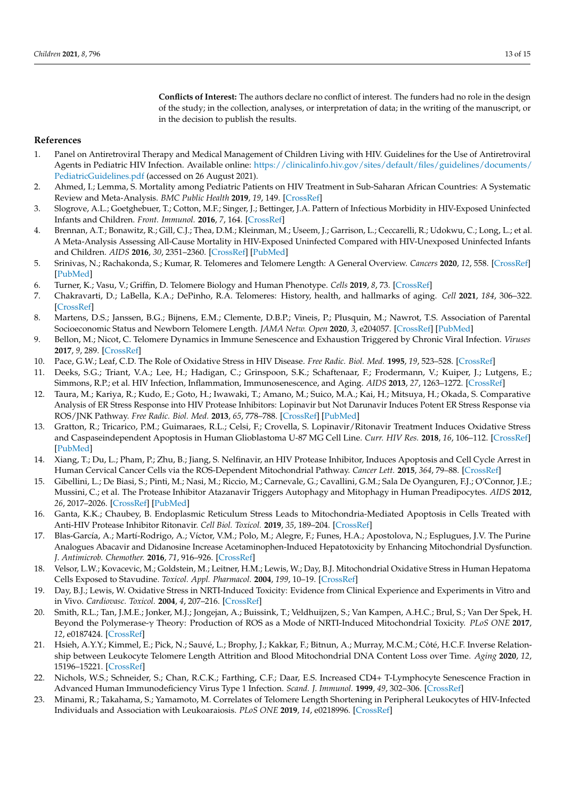**Conflicts of Interest:** The authors declare no conflict of interest. The funders had no role in the design of the study; in the collection, analyses, or interpretation of data; in the writing of the manuscript, or in the decision to publish the results.

#### **References**

- 1. Panel on Antiretroviral Therapy and Medical Management of Children Living with HIV. Guidelines for the Use of Antiretroviral Agents in Pediatric HIV Infection. Available online: [https://clinicalinfo.hiv.gov/sites/default/files/guidelines/documents/](https://clinicalinfo.hiv.gov/sites/default/files/guidelines/documents/PediatricGuidelines.pdf) [PediatricGuidelines.pdf](https://clinicalinfo.hiv.gov/sites/default/files/guidelines/documents/PediatricGuidelines.pdf) (accessed on 26 August 2021).
- 2. Ahmed, I.; Lemma, S. Mortality among Pediatric Patients on HIV Treatment in Sub-Saharan African Countries: A Systematic Review and Meta-Analysis. *BMC Public Health* **2019**, *19*, 149. [\[CrossRef\]](http://doi.org/10.1186/s12889-019-6482-1)
- 3. Slogrove, A.L.; Goetghebuer, T.; Cotton, M.F.; Singer, J.; Bettinger, J.A. Pattern of Infectious Morbidity in HIV-Exposed Uninfected Infants and Children. *Front. Immunol.* **2016**, *7*, 164. [\[CrossRef\]](http://doi.org/10.3389/fimmu.2016.00164)
- 4. Brennan, A.T.; Bonawitz, R.; Gill, C.J.; Thea, D.M.; Kleinman, M.; Useem, J.; Garrison, L.; Ceccarelli, R.; Udokwu, C.; Long, L.; et al. A Meta-Analysis Assessing All-Cause Mortality in HIV-Exposed Uninfected Compared with HIV-Unexposed Uninfected Infants and Children. *AIDS* **2016**, *30*, 2351–2360. [\[CrossRef\]](http://doi.org/10.1097/QAD.0000000000001211) [\[PubMed\]](http://www.ncbi.nlm.nih.gov/pubmed/27456985)
- 5. Srinivas, N.; Rachakonda, S.; Kumar, R. Telomeres and Telomere Length: A General Overview. *Cancers* **2020**, *12*, 558. [\[CrossRef\]](http://doi.org/10.3390/cancers12030558) [\[PubMed\]](http://www.ncbi.nlm.nih.gov/pubmed/32121056)
- 6. Turner, K.; Vasu, V.; Griffin, D. Telomere Biology and Human Phenotype. *Cells* **2019**, *8*, 73. [\[CrossRef\]](http://doi.org/10.3390/cells8010073)
- 7. Chakravarti, D.; LaBella, K.A.; DePinho, R.A. Telomeres: History, health, and hallmarks of aging. *Cell* **2021**, *184*, 306–322. [\[CrossRef\]](http://doi.org/10.1016/j.cell.2020.12.028)
- 8. Martens, D.S.; Janssen, B.G.; Bijnens, E.M.; Clemente, D.B.P.; Vineis, P.; Plusquin, M.; Nawrot, T.S. Association of Parental Socioeconomic Status and Newborn Telomere Length. *JAMA Netw. Open* **2020**, *3*, e204057. [\[CrossRef\]](http://doi.org/10.1001/jamanetworkopen.2020.4057) [\[PubMed\]](http://www.ncbi.nlm.nih.gov/pubmed/32364595)
- 9. Bellon, M.; Nicot, C. Telomere Dynamics in Immune Senescence and Exhaustion Triggered by Chronic Viral Infection. *Viruses* **2017**, *9*, 289. [\[CrossRef\]](http://doi.org/10.3390/v9100289)
- 10. Pace, G.W.; Leaf, C.D. The Role of Oxidative Stress in HIV Disease. *Free Radic. Biol. Med.* **1995**, *19*, 523–528. [\[CrossRef\]](http://doi.org/10.1016/0891-5849(95)00047-2)
- 11. Deeks, S.G.; Triant, V.A.; Lee, H.; Hadigan, C.; Grinspoon, S.K.; Schaftenaar, F.; Frodermann, V.; Kuiper, J.; Lutgens, E.; Simmons, R.P.; et al. HIV Infection, Inflammation, Immunosenescence, and Aging. *AIDS* **2013**, *27*, 1263–1272. [\[CrossRef\]](http://doi.org/10.1146/annurev-med-042909-093756)
- 12. Taura, M.; Kariya, R.; Kudo, E.; Goto, H.; Iwawaki, T.; Amano, M.; Suico, M.A.; Kai, H.; Mitsuya, H.; Okada, S. Comparative Analysis of ER Stress Response into HIV Protease Inhibitors: Lopinavir but Not Darunavir Induces Potent ER Stress Response via ROS/JNK Pathway. *Free Radic. Biol. Med.* **2013**, *65*, 778–788. [\[CrossRef\]](http://doi.org/10.1016/j.freeradbiomed.2013.08.161) [\[PubMed\]](http://www.ncbi.nlm.nih.gov/pubmed/23973637)
- 13. Gratton, R.; Tricarico, P.M.; Guimaraes, R.L.; Celsi, F.; Crovella, S. Lopinavir/Ritonavir Treatment Induces Oxidative Stress and Caspaseindependent Apoptosis in Human Glioblastoma U-87 MG Cell Line. *Curr. HIV Res.* **2018**, *16*, 106–112. [\[CrossRef\]](http://doi.org/10.2174/1570162X16666180528100922) [\[PubMed\]](http://www.ncbi.nlm.nih.gov/pubmed/29804534)
- 14. Xiang, T.; Du, L.; Pham, P.; Zhu, B.; Jiang, S. Nelfinavir, an HIV Protease Inhibitor, Induces Apoptosis and Cell Cycle Arrest in Human Cervical Cancer Cells via the ROS-Dependent Mitochondrial Pathway. *Cancer Lett.* **2015**, *364*, 79–88. [\[CrossRef\]](http://doi.org/10.1016/j.canlet.2015.04.027)
- 15. Gibellini, L.; De Biasi, S.; Pinti, M.; Nasi, M.; Riccio, M.; Carnevale, G.; Cavallini, G.M.; Sala De Oyanguren, F.J.; O'Connor, J.E.; Mussini, C.; et al. The Protease Inhibitor Atazanavir Triggers Autophagy and Mitophagy in Human Preadipocytes. *AIDS* **2012**, *26*, 2017–2026. [\[CrossRef\]](http://doi.org/10.1097/QAD.0b013e328359b8be) [\[PubMed\]](http://www.ncbi.nlm.nih.gov/pubmed/22948272)
- 16. Ganta, K.K.; Chaubey, B. Endoplasmic Reticulum Stress Leads to Mitochondria-Mediated Apoptosis in Cells Treated with Anti-HIV Protease Inhibitor Ritonavir. *Cell Biol. Toxicol.* **2019**, *35*, 189–204. [\[CrossRef\]](http://doi.org/10.1007/s10565-018-09451-7)
- 17. Blas-García, A.; Martí-Rodrigo, A.; Víctor, V.M.; Polo, M.; Alegre, F.; Funes, H.A.; Apostolova, N.; Esplugues, J.V. The Purine Analogues Abacavir and Didanosine Increase Acetaminophen-Induced Hepatotoxicity by Enhancing Mitochondrial Dysfunction. *J. Antimicrob. Chemother.* **2016**, *71*, 916–926. [\[CrossRef\]](http://doi.org/10.1093/jac/dkv424)
- 18. Velsor, L.W.; Kovacevic, M.; Goldstein, M.; Leitner, H.M.; Lewis, W.; Day, B.J. Mitochondrial Oxidative Stress in Human Hepatoma Cells Exposed to Stavudine. *Toxicol. Appl. Pharmacol.* **2004**, *199*, 10–19. [\[CrossRef\]](http://doi.org/10.1016/j.taap.2004.03.005)
- 19. Day, B.J.; Lewis, W. Oxidative Stress in NRTI-Induced Toxicity: Evidence from Clinical Experience and Experiments in Vitro and in Vivo. *Cardiovasc. Toxicol.* **2004**, *4*, 207–216. [\[CrossRef\]](http://doi.org/10.1385/CT:4:3:207)
- 20. Smith, R.L.; Tan, J.M.E.; Jonker, M.J.; Jongejan, A.; Buissink, T.; Veldhuijzen, S.; Van Kampen, A.H.C.; Brul, S.; Van Der Spek, H. Beyond the Polymerase-γ Theory: Production of ROS as a Mode of NRTI-Induced Mitochondrial Toxicity. *PLoS ONE* **2017**, *12*, e0187424. [\[CrossRef\]](http://doi.org/10.1371/journal.pone.0187424)
- 21. Hsieh, A.Y.Y.; Kimmel, E.; Pick, N.; Sauvé, L.; Brophy, J.; Kakkar, F.; Bitnun, A.; Murray, M.C.M.; Côté, H.C.F. Inverse Relationship between Leukocyte Telomere Length Attrition and Blood Mitochondrial DNA Content Loss over Time. *Aging* **2020**, *12*, 15196–15221. [\[CrossRef\]](http://doi.org/10.18632/aging.103703)
- 22. Nichols, W.S.; Schneider, S.; Chan, R.C.K.; Farthing, C.F.; Daar, E.S. Increased CD4+ T-Lymphocyte Senescence Fraction in Advanced Human Immunodeficiency Virus Type 1 Infection. *Scand. J. Immunol.* **1999**, *49*, 302–306. [\[CrossRef\]](http://doi.org/10.1046/j.1365-3083.1999.00505.x)
- 23. Minami, R.; Takahama, S.; Yamamoto, M. Correlates of Telomere Length Shortening in Peripheral Leukocytes of HIV-Infected Individuals and Association with Leukoaraiosis. *PLoS ONE* **2019**, *14*, e0218996. [\[CrossRef\]](http://doi.org/10.1371/journal.pone.0218996)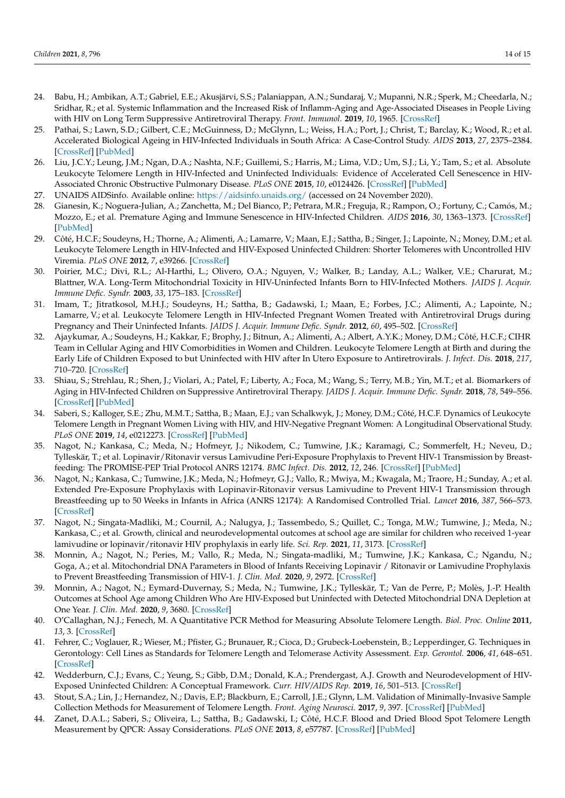- 24. Babu, H.; Ambikan, A.T.; Gabriel, E.E.; Akusjärvi, S.S.; Palaniappan, A.N.; Sundaraj, V.; Mupanni, N.R.; Sperk, M.; Cheedarla, N.; Sridhar, R.; et al. Systemic Inflammation and the Increased Risk of Inflamm-Aging and Age-Associated Diseases in People Living with HIV on Long Term Suppressive Antiretroviral Therapy. *Front. Immunol.* **2019**, *10*, 1965. [\[CrossRef\]](http://doi.org/10.3389/fimmu.2019.01965)
- 25. Pathai, S.; Lawn, S.D.; Gilbert, C.E.; McGuinness, D.; McGlynn, L.; Weiss, H.A.; Port, J.; Christ, T.; Barclay, K.; Wood, R.; et al. Accelerated Biological Ageing in HIV-Infected Individuals in South Africa: A Case-Control Study. *AIDS* **2013**, *27*, 2375–2384. [\[CrossRef\]](http://doi.org/10.1097/QAD.0b013e328363bf7f) [\[PubMed\]](http://www.ncbi.nlm.nih.gov/pubmed/23751258)
- 26. Liu, J.C.Y.; Leung, J.M.; Ngan, D.A.; Nashta, N.F.; Guillemi, S.; Harris, M.; Lima, V.D.; Um, S.J.; Li, Y.; Tam, S.; et al. Absolute Leukocyte Telomere Length in HIV-Infected and Uninfected Individuals: Evidence of Accelerated Cell Senescence in HIV-Associated Chronic Obstructive Pulmonary Disease. *PLoS ONE* **2015**, *10*, e0124426. [\[CrossRef\]](http://doi.org/10.1371/journal.pone.0124426) [\[PubMed\]](http://www.ncbi.nlm.nih.gov/pubmed/25885433)
- 27. UNAIDS AIDSinfo. Available online: <https://aidsinfo.unaids.org/> (accessed on 24 November 2020).
- 28. Gianesin, K.; Noguera-Julian, A.; Zanchetta, M.; Del Bianco, P.; Petrara, M.R.; Freguja, R.; Rampon, O.; Fortuny, C.; Camós, M.; Mozzo, E.; et al. Premature Aging and Immune Senescence in HIV-Infected Children. *AIDS* **2016**, *30*, 1363–1373. [\[CrossRef\]](http://doi.org/10.1097/QAD.0000000000001093) [\[PubMed\]](http://www.ncbi.nlm.nih.gov/pubmed/26990630)
- 29. Côté, H.C.F.; Soudeyns, H.; Thorne, A.; Alimenti, A.; Lamarre, V.; Maan, E.J.; Sattha, B.; Singer, J.; Lapointe, N.; Money, D.M.; et al. Leukocyte Telomere Length in HIV-Infected and HIV-Exposed Uninfected Children: Shorter Telomeres with Uncontrolled HIV Viremia. *PLoS ONE* **2012**, *7*, e39266. [\[CrossRef\]](http://doi.org/10.1371/journal.pone.0039266)
- 30. Poirier, M.C.; Divi, R.L.; Al-Harthi, L.; Olivero, O.A.; Nguyen, V.; Walker, B.; Landay, A.L.; Walker, V.E.; Charurat, M.; Blattner, W.A. Long-Term Mitochondrial Toxicity in HIV-Uninfected Infants Born to HIV-Infected Mothers. *JAIDS J. Acquir. Immune Defic. Syndr.* **2003**, *33*, 175–183. [\[CrossRef\]](http://doi.org/10.1097/00126334-200306010-00010)
- 31. Imam, T.; Jitratkosol, M.H.J.; Soudeyns, H.; Sattha, B.; Gadawski, I.; Maan, E.; Forbes, J.C.; Alimenti, A.; Lapointe, N.; Lamarre, V.; et al. Leukocyte Telomere Length in HIV-Infected Pregnant Women Treated with Antiretroviral Drugs during Pregnancy and Their Uninfected Infants. *JAIDS J. Acquir. Immune Defic. Syndr.* **2012**, *60*, 495–502. [\[CrossRef\]](http://doi.org/10.1097/QAI.0b013e31825aa89c)
- 32. Ajaykumar, A.; Soudeyns, H.; Kakkar, F.; Brophy, J.; Bitnun, A.; Alimenti, A.; Albert, A.Y.K.; Money, D.M.; Côté, H.C.F.; CIHR Team in Cellular Aging and HIV Comorbidities in Women and Children. Leukocyte Telomere Length at Birth and during the Early Life of Children Exposed to but Uninfected with HIV after In Utero Exposure to Antiretrovirals. *J. Infect. Dis.* **2018**, *217*, 710–720. [\[CrossRef\]](http://doi.org/10.1093/infdis/jix618)
- 33. Shiau, S.; Strehlau, R.; Shen, J.; Violari, A.; Patel, F.; Liberty, A.; Foca, M.; Wang, S.; Terry, M.B.; Yin, M.T.; et al. Biomarkers of Aging in HIV-Infected Children on Suppressive Antiretroviral Therapy. *JAIDS J. Acquir. Immune Defic. Syndr.* **2018**, *78*, 549–556. [\[CrossRef\]](http://doi.org/10.1097/QAI.0000000000001714) [\[PubMed\]](http://www.ncbi.nlm.nih.gov/pubmed/29771780)
- 34. Saberi, S.; Kalloger, S.E.; Zhu, M.M.T.; Sattha, B.; Maan, E.J.; van Schalkwyk, J.; Money, D.M.; Côté, H.C.F. Dynamics of Leukocyte Telomere Length in Pregnant Women Living with HIV, and HIV-Negative Pregnant Women: A Longitudinal Observational Study. *PLoS ONE* **2019**, *14*, e0212273. [\[CrossRef\]](http://doi.org/10.1371/journal.pone.0212273) [\[PubMed\]](http://www.ncbi.nlm.nih.gov/pubmed/30840638)
- 35. Nagot, N.; Kankasa, C.; Meda, N.; Hofmeyr, J.; Nikodem, C.; Tumwine, J.K.; Karamagi, C.; Sommerfelt, H.; Neveu, D.; Tylleskär, T.; et al. Lopinavir/Ritonavir versus Lamivudine Peri-Exposure Prophylaxis to Prevent HIV-1 Transmission by Breastfeeding: The PROMISE-PEP Trial Protocol ANRS 12174. *BMC Infect. Dis.* **2012**, *12*, 246. [\[CrossRef\]](http://doi.org/10.1186/1471-2334-12-246) [\[PubMed\]](http://www.ncbi.nlm.nih.gov/pubmed/23039034)
- 36. Nagot, N.; Kankasa, C.; Tumwine, J.K.; Meda, N.; Hofmeyr, G.J.; Vallo, R.; Mwiya, M.; Kwagala, M.; Traore, H.; Sunday, A.; et al. Extended Pre-Exposure Prophylaxis with Lopinavir-Ritonavir versus Lamivudine to Prevent HIV-1 Transmission through Breastfeeding up to 50 Weeks in Infants in Africa (ANRS 12174): A Randomised Controlled Trial. *Lancet* **2016**, *387*, 566–573. [\[CrossRef\]](http://doi.org/10.1016/S0140-6736(15)00984-8)
- 37. Nagot, N.; Singata-Madliki, M.; Cournil, A.; Nalugya, J.; Tassembedo, S.; Quillet, C.; Tonga, M.W.; Tumwine, J.; Meda, N.; Kankasa, C.; et al. Growth, clinical and neurodevelopmental outcomes at school age are similar for children who received 1-year lamivudine or lopinavir/ritonavir HIV prophylaxis in early life. *Sci. Rep.* **2021**, *11*, 3173. [\[CrossRef\]](http://doi.org/10.1038/s41598-021-82762-8)
- 38. Monnin, A.; Nagot, N.; Peries, M.; Vallo, R.; Meda, N.; Singata-madliki, M.; Tumwine, J.K.; Kankasa, C.; Ngandu, N.; Goga, A.; et al. Mitochondrial DNA Parameters in Blood of Infants Receiving Lopinavir / Ritonavir or Lamivudine Prophylaxis to Prevent Breastfeeding Transmission of HIV-1. *J. Clin. Med.* **2020**, *9*, 2972. [\[CrossRef\]](http://doi.org/10.3390/jcm9092972)
- 39. Monnin, A.; Nagot, N.; Eymard-Duvernay, S.; Meda, N.; Tumwine, J.K.; Tylleskär, T.; Van de Perre, P.; Molès, J.-P. Health Outcomes at School Age among Children Who Are HIV-Exposed but Uninfected with Detected Mitochondrial DNA Depletion at One Year. *J. Clin. Med.* **2020**, *9*, 3680. [\[CrossRef\]](http://doi.org/10.3390/jcm9113680)
- 40. O'Callaghan, N.J.; Fenech, M. A Quantitative PCR Method for Measuring Absolute Telomere Length. *Biol. Proc. Online* **2011**, *13*, 3. [\[CrossRef\]](http://doi.org/10.1186/1480-9222-13-3)
- 41. Fehrer, C.; Voglauer, R.; Wieser, M.; Pfister, G.; Brunauer, R.; Cioca, D.; Grubeck-Loebenstein, B.; Lepperdinger, G. Techniques in Gerontology: Cell Lines as Standards for Telomere Length and Telomerase Activity Assessment. *Exp. Gerontol.* **2006**, *41*, 648–651. [\[CrossRef\]](http://doi.org/10.1016/j.exger.2006.03.016)
- 42. Wedderburn, C.J.; Evans, C.; Yeung, S.; Gibb, D.M.; Donald, K.A.; Prendergast, A.J. Growth and Neurodevelopment of HIV-Exposed Uninfected Children: A Conceptual Framework. *Curr. HIV/AIDS Rep.* **2019**, *16*, 501–513. [\[CrossRef\]](http://doi.org/10.1007/s11904-019-00459-0)
- 43. Stout, S.A.; Lin, J.; Hernandez, N.; Davis, E.P.; Blackburn, E.; Carroll, J.E.; Glynn, L.M. Validation of Minimally-Invasive Sample Collection Methods for Measurement of Telomere Length. *Front. Aging Neurosci.* **2017**, *9*, 397. [\[CrossRef\]](http://doi.org/10.3389/fnagi.2017.00397) [\[PubMed\]](http://www.ncbi.nlm.nih.gov/pubmed/29270121)
- 44. Zanet, D.A.L.; Saberi, S.; Oliveira, L.; Sattha, B.; Gadawski, I.; Côté, H.C.F. Blood and Dried Blood Spot Telomere Length Measurement by QPCR: Assay Considerations. *PLoS ONE* **2013**, *8*, e57787. [\[CrossRef\]](http://doi.org/10.1371/journal.pone.0057787) [\[PubMed\]](http://www.ncbi.nlm.nih.gov/pubmed/23451268)